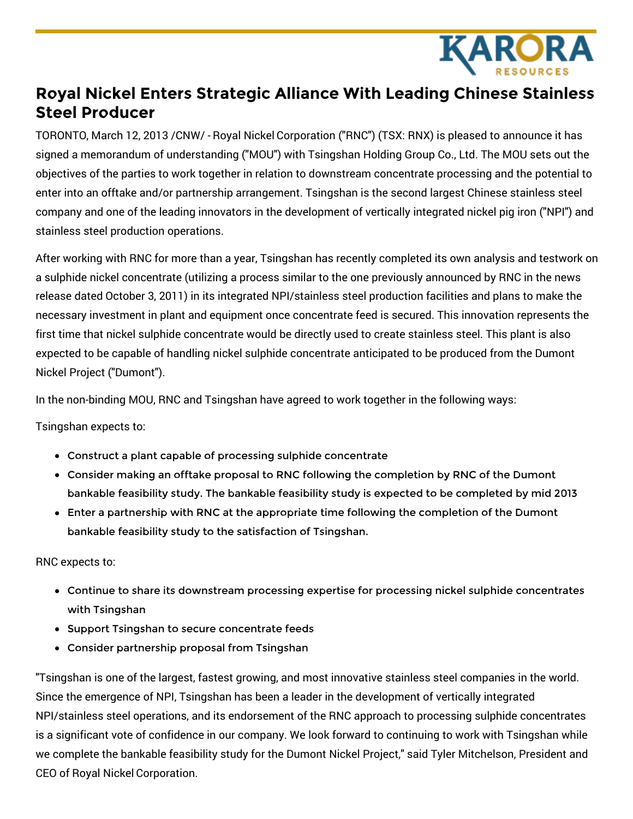

## **Royal Nickel Enters Strategic Alliance With Leading Chinese Stainless Steel Producer**

TORONTO, March 12, 2013 /CNW/ - Royal Nickel Corporation ("RNC") (TSX: RNX) is pleased to announce it has signed a memorandum of understanding ("MOU") with Tsingshan Holding Group Co., Ltd. The MOU sets out the objectives of the parties to work together in relation to downstream concentrate processing and the potential to enter into an offtake and/or partnership arrangement. Tsingshan is the second largest Chinese stainless steel company and one of the leading innovators in the development of vertically integrated nickel pig iron ("NPI") and stainless steel production operations.

After working with RNC for more than a year, Tsingshan has recently completed its own analysis and testwork on a sulphide nickel concentrate (utilizing a process similar to the one previously announced by RNC in the news release dated October 3, 2011) in its integrated NPI/stainless steel production facilities and plans to make the necessary investment in plant and equipment once concentrate feed is secured. This innovation represents the first time that nickel sulphide concentrate would be directly used to create stainless steel. This plant is also expected to be capable of handling nickel sulphide concentrate anticipated to be produced from the Dumont Nickel Project ("Dumont").

In the non-binding MOU, RNC and Tsingshan have agreed to work together in the following ways:

Tsingshan expects to:

- Construct a plant capable of processing sulphide concentrate
- Consider making an offtake proposal to RNC following the completion by RNC of the Dumont bankable feasibility study. The bankable feasibility study is expected to be completed by mid 2013
- Enter a partnership with RNC at the appropriate time following the completion of the Dumont bankable feasibility study to the satisfaction of Tsingshan.

RNC expects to:

- Continue to share its downstream processing expertise for processing nickel sulphide concentrates with Tsingshan
- **Support Tsingshan to secure concentrate feeds**
- Consider partnership proposal from Tsingshan

"Tsingshan is one of the largest, fastest growing, and most innovative stainless steel companies in the world. Since the emergence of NPI, Tsingshan has been a leader in the development of vertically integrated NPI/stainless steel operations, and its endorsement of the RNC approach to processing sulphide concentrates is a significant vote of confidence in our company. We look forward to continuing to work with Tsingshan while we complete the bankable feasibility study for the Dumont Nickel Project," said Tyler Mitchelson, President and CEO of Royal Nickel Corporation.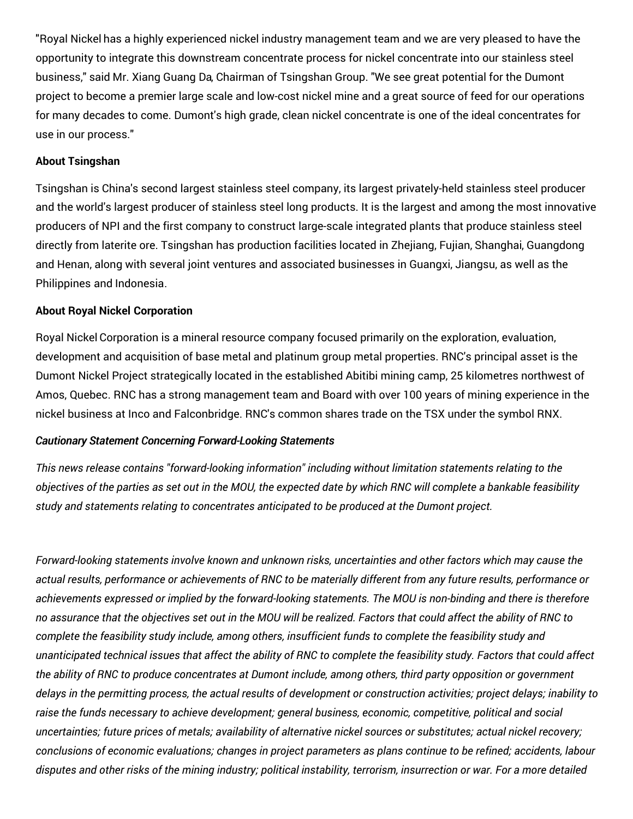"Royal Nickel has a highly experienced nickel industry management team and we are very pleased to have the opportunity to integrate this downstream concentrate process for nickel concentrate into our stainless steel business," said Mr. Xiang Guang Da, Chairman of Tsingshan Group. "We see great potential for the Dumont project to become a premier large scale and low-cost nickel mine and a great source of feed for our operations for many decades to come. Dumont's high grade, clean nickel concentrate is one of the ideal concentrates for use in our process."

## **About Tsingshan**

Tsingshan is China's second largest stainless steel company, its largest privately-held stainless steel producer and the world's largest producer of stainless steel long products. It is the largest and among the most innovative producers of NPI and the first company to construct large-scale integrated plants that produce stainless steel directly from laterite ore. Tsingshan has production facilities located in Zhejiang, Fujian, Shanghai, Guangdong and Henan, along with several joint ventures and associated businesses in Guangxi, Jiangsu, as well as the Philippines and Indonesia.

## **About Royal Nickel Corporation**

Royal Nickel Corporation is a mineral resource company focused primarily on the exploration, evaluation, development and acquisition of base metal and platinum group metal properties. RNC's principal asset is the Dumont Nickel Project strategically located in the established Abitibi mining camp, 25 kilometres northwest of Amos, Quebec. RNC has a strong management team and Board with over 100 years of mining experience in the nickel business at Inco and Falconbridge. RNC's common shares trade on the TSX under the symbol RNX.

## *Cautionary Statement Concerning Forward-Looking Statements*

*This news release contains "forward-looking information" including without limitation statements relating to the* objectives of the parties as set out in the MOU, the expected date by which RNC will complete a bankable feasibility *study and statements relating to concentrates anticipated to be produced at the Dumont project.*

*Forward-looking statements involve known and unknown risks, uncertainties and other factors which may cause the* actual results, performance or achievements of RNC to be materially different from any future results, performance or achievements expressed or implied by the forward-looking statements. The MOU is non-binding and there is therefore no assurance that the objectives set out in the MOU will be realized. Factors that could affect the ability of RNC to *complete the feasibility study include, among others, insufficient funds to complete the feasibility study and* unanticipated technical issues that affect the ability of RNC to complete the feasibility study. Factors that could affect the ability of RNC to produce concentrates at Dumont include, among others, third party opposition or government delays in the permitting process, the actual results of development or construction activities; project delays; inability to *raise the funds necessary to achieve development; general business, economic, competitive, political and social* uncertainties; future prices of metals; availability of alternative nickel sources or substitutes; actual nickel recovery; conclusions of economic evaluations; changes in project parameters as plans continue to be refined; accidents, labour disputes and other risks of the mining industry; political instability, terrorism, insurrection or war. For a more detailed